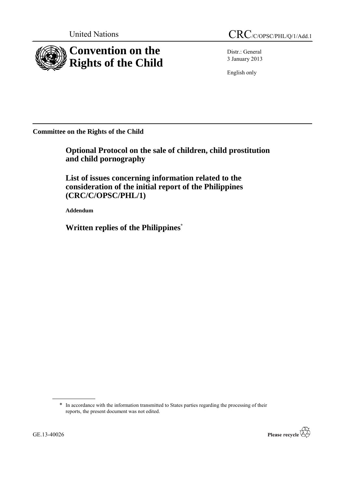

Distr.: General 3 January 2013

English only

**Committee on the Rights of the Child**

**Optional Protocol on the sale of children, child prostitution and child pornography**

**List of issues concerning information related to the consideration of the initial report of the Philippines (CRC/C/OPSC/PHL/1)**

**Addendum**

**Written replies of the Philippines\***

<sup>\*</sup> In accordance with the information transmitted to States parties regarding the processing of their reports, the present document was not edited.

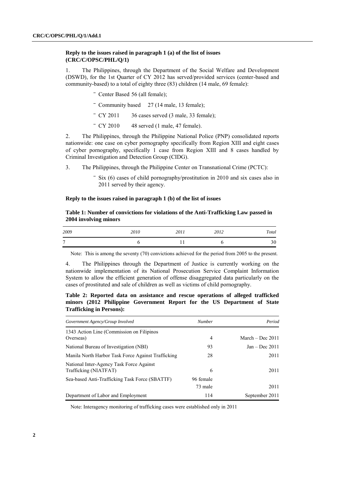# **Reply to the issues raised in paragraph 1 (a) of the list of issues (CRC/C/OPSC/PHL/Q/1)**

1. The Philippines, through the Department of the Social Welfare and Development (DSWD), for the 1st Quarter of CY 2012 has served/provided services (center-based and community-based) to a total of eighty three (83) children (14 male, 69 female):

- Center Based 56 (all female);
- ‾ Community based 27 (14 male, 13 female);
- ‾ CY 2011 36 cases served (3 male, 33 female);
- $-CY 2010$  48 served (1 male, 47 female).

2. The Philippines, through the Philippine National Police (PNP) consolidated reports nationwide: one case on cyber pornography specifically from Region XIII and eight cases of cyber pornography, specifically 1 case from Region XIII and 8 cases handled by Criminal Investigation and Detection Group (CIDG).

- 3. The Philippines, through the Philippine Center on Transnational Crime (PCTC):
	- ‾ Six (6) cases of child pornography/prostitution in 2010 and six cases also in 2011 served by their agency.

### **Reply to the issues raised in paragraph 1 (b) of the list of issues**

# **Table 1: Number of convictions for violations of the Anti-Trafficking Law passed in 2004 involving minors**

| 2009         | 2010 | 2011<br>$\sim$ $\sim$ $\sim$ | 2012 | Total    |
|--------------|------|------------------------------|------|----------|
| $\mathbf{r}$ |      |                              |      | 20<br>υc |

Note: This is among the seventy (70) convictions achieved for the period from 2005 to the present.

4. The Philippines through the Department of Justice is currently working on the nationwide implementation of its National Prosecution Service Complaint Information System to allow the efficient generation of offense disaggregated data particularly on the cases of prostituted and sale of children as well as victims of child pornography.

# **Table 2: Reported data on assistance and rescue operations of alleged trafficked minors (2012 Philippine Government Report for the US Department of State Trafficking in Persons):**

| Government Agency/Group Involved                                  | <b>Number</b>        | Period             |
|-------------------------------------------------------------------|----------------------|--------------------|
| 1343 Action Line (Commission on Filipinos<br>Overseas)            | $\overline{4}$       | March $-$ Dec 2011 |
| National Bureau of Investigation (NBI)                            | 93                   | $Jan - Dec 2011$   |
| Manila North Harbor Task Force Against Trafficking                | 28                   | 2011               |
| National Inter-Agency Task Force Against<br>Trafficking (NIATFAT) | 6                    | 2011               |
| Sea-based Anti-Trafficking Task Force (SBATTF)                    | 96 female<br>73 male | 2011               |
| Department of Labor and Employment                                | 114                  | September 2011     |

Note: Interagency monitoring of trafficking cases were established only in 2011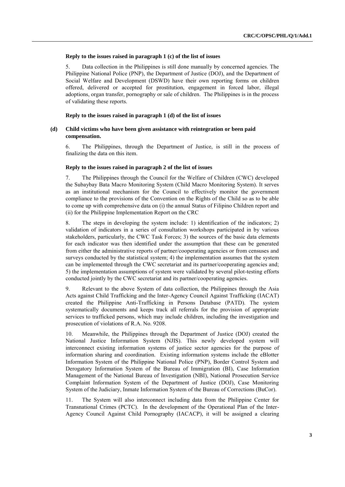### **Reply to the issues raised in paragraph 1 (c) of the list of issues**

5. Data collection in the Philippines is still done manually by concerned agencies. The Philippine National Police (PNP), the Department of Justice (DOJ), and the Department of Social Welfare and Development (DSWD) have their own reporting forms on children offered, delivered or accepted for prostitution, engagement in forced labor, illegal adoptions, organ transfer, pornography or sale of children. The Philippines is in the process of validating these reports.

#### **Reply to the issues raised in paragraph 1 (d) of the list of issues**

# **(d) Child victims who have been given assistance with reintegration or been paid compensation.**

6. The Philippines, through the Department of Justice, is still in the process of finalizing the data on this item.

## **Reply to the issues raised in paragraph 2 of the list of issues**

7. The Philippines through the Council for the Welfare of Children (CWC) developed the Subaybay Bata Macro Monitoring System (Child Macro Monitoring System). It serves as an institutional mechanism for the Council to effectively monitor the government compliance to the provisions of the Convention on the Rights of the Child so as to be able to come up with comprehensive data on (i) the annual Status of Filipino Children report and (ii) for the Philippine Implementation Report on the CRC

8. The steps in developing the system include: 1) identification of the indicators; 2) validation of indicators in a series of consultation workshops participated in by various stakeholders, particularly, the CWC Task Forces; 3) the sources of the basic data elements for each indicator was then identified under the assumption that these can be generated from either the administrative reports of partner/cooperating agencies or from censuses and surveys conducted by the statistical system; 4) the implementation assumes that the system can be implemented through the CWC secretariat and its partner/cooperating agencies and; 5) the implementation assumptions of system were validated by several pilot-testing efforts conducted jointly by the CWC secretariat and its partner/cooperating agencies.

9. Relevant to the above System of data collection, the Philippines through the Asia Acts against Child Trafficking and the Inter-Agency Council Against Trafficking (IACAT) created the Philippine Anti-Trafficking in Persons Database (PATD). The system systematically documents and keeps track all referrals for the provision of appropriate services to trafficked persons, which may include children, including the investigation and prosecution of violations of R.A. No. 9208.

10. Meanwhile, the Philippines through the Department of Justice (DOJ) created the National Justice Information System (NJIS). This newly developed system will interconnect existing information systems of justice sector agencies for the purpose of information sharing and coordination. Existing information systems include the eBlotter Information System of the Philippine National Police (PNP), Border Control System and Derogatory Information System of the Bureau of Immigration (BI), Case Information Management of the National Bureau of Investigation (NBI), National Prosecution Service Complaint Information System of the Department of Justice (DOJ), Case Monitoring System of the Judiciary, Inmate Information System of the Bureau of Corrections (BuCor).

11. The System will also interconnect including data from the Philippine Center for Transnational Crimes (PCTC). In the development of the Operational Plan of the Inter-Agency Council Against Child Pornography (IACACP), it will be assigned a clearing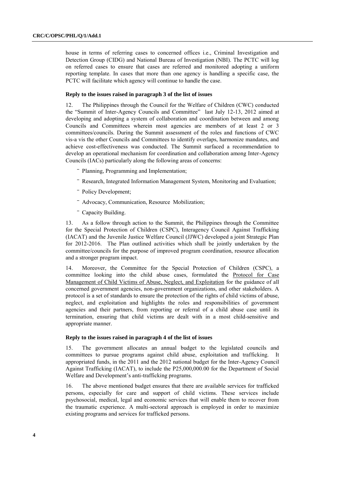house in terms of referring cases to concerned offices i.e., Criminal Investigation and Detection Group (CIDG) and National Bureau of Investigation (NBI). The PCTC will log on referred cases to ensure that cases are referred and monitored adopting a uniform reporting template. In cases that more than one agency is handling a specific case, the PCTC will facilitate which agency will continue to handle the case.

## **Reply to the issues raised in paragraph 3 of the list of issues**

12. The Philippines through the Council for the Welfare of Children (CWC) conducted the "Summit of Inter-Agency Councils and Committee" last July 12-13, 2012 aimed at developing and adopting a system of collaboration and coordination between and among Councils and Committees wherein most agencies are members of at least 2 or 3 committees/councils. During the Summit assessment of the roles and functions of CWC vis-a vis the other Councils and Committees to identify overlaps, harmonize mandates, and achieve cost-effectiveness was conducted. The Summit surfaced a recommendation to develop an operational mechanism for coordination and collaboration among Inter-Agency Councils (IACs) particularly along the following areas of concerns:

- ‾ Planning, Programming and Implementation;
- ‾ Research, Integrated Information Management System, Monitoring and Evaluation;
- ‾ Policy Development;
- ‾ Advocacy, Communication, Resource Mobilization;
- Capacity Building.

13. As a follow through action to the Summit, the Philippines through the Committee for the Special Protection of Children (CSPC), Interagency Council Against Trafficking (IACAT) and the Juvenile Justice Welfare Council (JJWC) developed a joint Strategic Plan for 2012-2016. The Plan outlined activities which shall be jointly undertaken by the committee/councils for the purpose of improved program coordination, resource allocation and a stronger program impact.

14. Moreover, the Committee for the Special Protection of Children (CSPC), a committee looking into the child abuse cases, formulated the Protocol for Case Management of Child Victims of Abuse, Neglect, and Exploitation for the guidance of all concerned government agencies, non-government organizations, and other stakeholders. A protocol is a set of standards to ensure the protection of the rights of child victims of abuse, neglect, and exploitation and highlights the roles and responsibilities of government agencies and their partners, from reporting or referral of a child abuse case until its termination, ensuring that child victims are dealt with in a most child-sensitive and appropriate manner.

## **Reply to the issues raised in paragraph 4 of the list of issues**

15. The government allocates an annual budget to the legislated councils and committees to pursue programs against child abuse, exploitation and trafficking. It appropriated funds, in the 2011 and the 2012 national budget for the Inter-Agency Council Against Trafficking (IACAT), to include the P25,000,000.00 for the Department of Social Welfare and Development's anti-trafficking programs.

16. The above mentioned budget ensures that there are available services for trafficked persons, especially for care and support of child victims. These services include psychosocial, medical, legal and economic services that will enable them to recover from the traumatic experience. A multi-sectoral approach is employed in order to maximize existing programs and services for trafficked persons.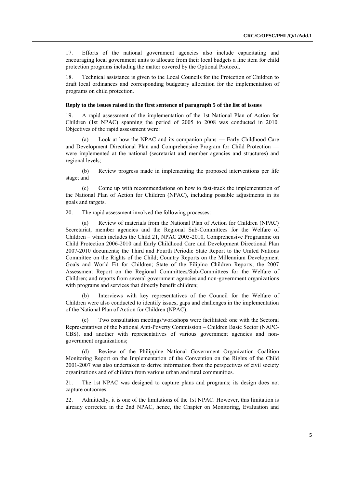17. Efforts of the national government agencies also include capacitating and encouraging local government units to allocate from their local budgets a line item for child protection programs including the matter covered by the Optional Protocol.

18. Technical assistance is given to the Local Councils for the Protection of Children to draft local ordinances and corresponding budgetary allocation for the implementation of programs on child protection.

#### **Reply to the issues raised in the first sentence of paragraph 5 of the list of issues**

19. A rapid assessment of the implementation of the 1st National Plan of Action for Children (1st NPAC) spanning the period of 2005 to 2008 was conducted in 2010. Objectives of the rapid assessment were:

Look at how the NPAC and its companion plans  $-$  Early Childhood Care and Development Directional Plan and Comprehensive Program for Child Protection were implemented at the national (secretariat and member agencies and structures) and regional levels;

(b) Review progress made in implementing the proposed interventions per life stage; and

(c) Come up with recommendations on how to fast-track the implementation of the National Plan of Action for Children (NPAC), including possible adjustments in its goals and targets.

20. The rapid assessment involved the following processes:

(a) Review of materials from the National Plan of Action for Children (NPAC) Secretariat, member agencies and the Regional Sub-Committees for the Welfare of Children – which includes the Child 21, NPAC 2005-2010, Comprehensive Programme on Child Protection 2006-2010 and Early Childhood Care and Development Directional Plan 2007-2010 documents; the Third and Fourth Periodic State Report to the United Nations Committee on the Rights of the Child; Country Reports on the Millennium Development Goals and World Fit for Children; State of the Filipino Children Reports; the 2007 Assessment Report on the Regional Committees/Sub-Committees for the Welfare of Children; and reports from several government agencies and non-government organizations with programs and services that directly benefit children;

(b) Interviews with key representatives of the Council for the Welfare of Children were also conducted to identify issues, gaps and challenges in the implementation of the National Plan of Action for Children (NPAC);

(c) Two consultation meetings/workshops were facilitated: one with the Sectoral Representatives of the National Anti-Poverty Commission – Children Basic Sector (NAPC-CBS), and another with representatives of various government agencies and nongovernment organizations;

(d) Review of the Philippine National Government Organization Coalition Monitoring Report on the Implementation of the Convention on the Rights of the Child 2001-2007 was also undertaken to derive information from the perspectives of civil society organizations and of children from various urban and rural communities.

21. The 1st NPAC was designed to capture plans and programs; its design does not capture outcomes.

22. Admittedly, it is one of the limitations of the 1st NPAC. However, this limitation is already corrected in the 2nd NPAC, hence, the Chapter on Monitoring, Evaluation and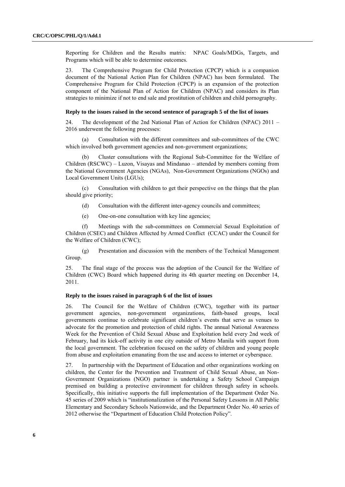Reporting for Children and the Results matrix: NPAC Goals/MDGs, Targets, and Programs which will be able to determine outcomes.

23. The Comprehensive Program for Child Protection (CPCP) which is a companion document of the National Action Plan for Children (NPAC) has been formulated. The Comprehensive Program for Child Protection (CPCP) is an expansion of the protection component of the National Plan of Action for Children (NPAC) and considers its Plan strategies to minimize if not to end sale and prostitution of children and child pornography.

### **Reply to the issues raised in the second sentence of paragraph 5 of the list of issues**

24. The development of the 2nd National Plan of Action for Children (NPAC) 2011 – 2016 underwent the following processes:

(a) Consultation with the different committees and sub-committees of the CWC which involved both government agencies and non-government organizations;

(b) Cluster consultations with the Regional Sub-Committee for the Welfare of Children (RSCWC) – Luzon, Visayas and Mindanao – attended by members coming from the National Government Agencies (NGAs), Non-Government Organizations (NGOs) and Local Government Units (LGUs);

(c) Consultation with children to get their perspective on the things that the plan should give priority;

- (d) Consultation with the different inter-agency councils and committees;
- (e) One-on-one consultation with key line agencies;

(f) Meetings with the sub-committees on Commercial Sexual Exploitation of Children (CSEC) and Children Affected by Armed Conflict (CCAC) under the Council for the Welfare of Children (CWC);

(g) Presentation and discussion with the members of the Technical Management Group.

25. The final stage of the process was the adoption of the Council for the Welfare of Children (CWC) Board which happened during its 4th quarter meeting on December 14, 2011.

## **Reply to the issues raised in paragraph 6 of the list of issues**

26. The Council for the Welfare of Children (CWC), together with its partner government agencies, non-government organizations, faith-based groups, local governments continue to celebrate significant children's events that serve as venues to advocate for the promotion and protection of child rights. The annual National Awareness Week for the Prevention of Child Sexual Abuse and Exploitation held every 2nd week of February, had its kick-off activity in one city outside of Metro Manila with support from the local government. The celebration focused on the safety of children and young people from abuse and exploitation emanating from the use and access to internet or cyberspace.

27. In partnership with the Department of Education and other organizations working on children, the Center for the Prevention and Treatment of Child Sexual Abuse, an Non-Government Organizations (NGO) partner is undertaking a Safety School Campaign premised on building a protective environment for children through safety in schools. Specifically, this initiative supports the full implementation of the Department Order No. 45 series of 2009 which is "institutionalization of the Personal Safety Lessons in All Public Elementary and Secondary Schools Nationwide, and the Department Order No. 40 series of 2012 otherwise the "Department of Education Child Protection Policy".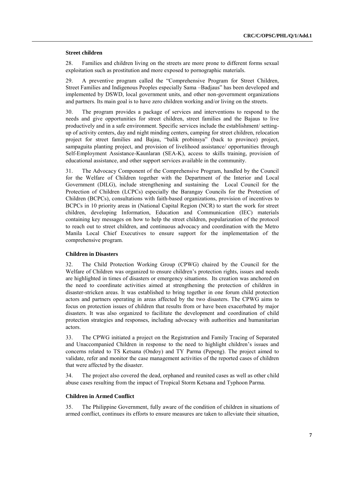#### **Street children**

28. Families and children living on the streets are more prone to different forms sexual exploitation such as prostitution and more exposed to pornographic materials.

29. A preventive program called the "Comprehensive Program for Street Children, Street Families and Indigenous Peoples especially Sama –Badjaus" has been developed and implemented by DSWD, local government units, and other non-government organizations and partners. Its main goal is to have zero children working and/or living on the streets.

30. The program provides a package of services and interventions to respond to the needs and give opportunities for street children, street families and the Bajaus to live productively and in a safe environment. Specific services include the establishment/ settingup of activity centers, day and night minding centers, camping for street children, relocation project for street families and Bajau, "balik probinsya" (back to province) project, sampaguita planting project, and provision of livelihood assistance/ opportunities through Self-Employment Assistance-Kaunlaran (SEA-K), access to skills training, provision of educational assistance, and other support services available in the community.

31. The Advocacy Component of the Comprehensive Program, handled by the Council for the Welfare of Children together with the Department of the Interior and Local Government (DILG), include strengthening and sustaining the Local Council for the Protection of Children (LCPCs) especially the Barangay Councils for the Protection of Children (BCPCs), consultations with faith-based organizations, provision of incentives to BCPCs in 10 priority areas in (National Capital Region (NCR) to start the work for street children, developing Information, Education and Communication (IEC) materials containing key messages on how to help the street children, popularization of the protocol to reach out to street children, and continuous advocacy and coordination with the Metro Manila Local Chief Executives to ensure support for the implementation of the comprehensive program.

## **Children in Disasters**

32. The Child Protection Working Group (CPWG) chaired by the Council for the Welfare of Children was organized to ensure children's protection rights, issues and needs are highlighted in times of disasters or emergency situations. Its creation was anchored on the need to coordinate activities aimed at strengthening the protection of children in disaster-stricken areas. It was established to bring together in one forum child protection actors and partners operating in areas affected by the two disasters. The CPWG aims to focus on protection issues of children that results from or have been exacerbated by major disasters. It was also organized to facilitate the development and coordination of child protection strategies and responses, including advocacy with authorities and humanitarian actors.

33. The CPWG initiated a project on the Registration and Family Tracing of Separated and Unaccompanied Children in response to the need to highlight children's issues and concerns related to TS Ketsana (Ondoy) and TY Parma (Pepeng). The project aimed to validate, refer and monitor the case management activities of the reported cases of children that were affected by the disaster.

34. The project also covered the dead, orphaned and reunited cases as well as other child abuse cases resulting from the impact of Tropical Storm Ketsana and Typhoon Parma.

## **Children in Armed Conflict**

35. The Philippine Government, fully aware of the condition of children in situations of armed conflict, continues its efforts to ensure measures are taken to alleviate their situation,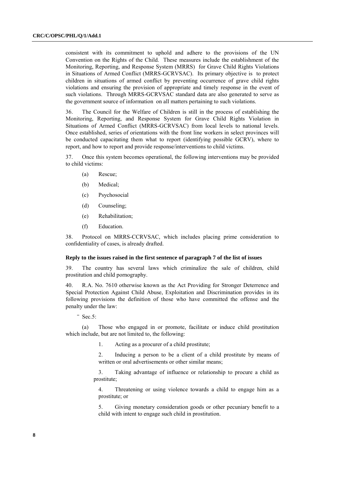consistent with its commitment to uphold and adhere to the provisions of the UN Convention on the Rights of the Child. These measures include the establishment of the Monitoring, Reporting, and Response System (MRRS) for Grave Child Rights Violations in Situations of Armed Conflict (MRRS-GCRVSAC). Its primary objective is to protect children in situations of armed conflict by preventing occurrence of grave child rights violations and ensuring the provision of appropriate and timely response in the event of such violations. Through MRRS-GCRVSAC standard data are also generated to serve as the government source of information on all matters pertaining to such violations.

36. The Council for the Welfare of Children is still in the process of establishing the Monitoring, Reporting, and Response System for Grave Child Rights Violation in Situations of Armed Conflict (MRRS-GCRVSAC) from local levels to national levels. Once established, series of orientations with the front line workers in select provinces will be conducted capacitating them what to report (identifying possible GCRV), where to report, and how to report and provide response/interventions to child victims.

37. Once this system becomes operational, the following interventions may be provided to child victims:

- (a) Rescue;
- (b) Medical;
- (c) Psychosocial
- (d) Counseling;
- (e) Rehabilitation;
- (f) Education.

38. Protocol on MRRS-CCRVSAC, which includes placing prime consideration to confidentiality of cases, is already drafted.

### **Reply to the issues raised in the first sentence of paragraph 7 of the list of issues**

39. The country has several laws which criminalize the sale of children, child prostitution and child pornography.

40. R.A. No. 7610 otherwise known as the Act Providing for Stronger Deterrence and Special Protection Against Child Abuse, Exploitation and Discrimination provides in its following provisions the definition of those who have committed the offense and the penalty under the law:

 $^-$  Sec.5:

(a) Those who engaged in or promote, facilitate or induce child prostitution which include, but are not limited to, the following:

1. Acting as a procurer of a child prostitute;

2. Inducing a person to be a client of a child prostitute by means of written or oral advertisements or other similar means;

3. Taking advantage of influence or relationship to procure a child as prostitute;

4. Threatening or using violence towards a child to engage him as a prostitute; or

5. Giving monetary consideration goods or other pecuniary benefit to a child with intent to engage such child in prostitution.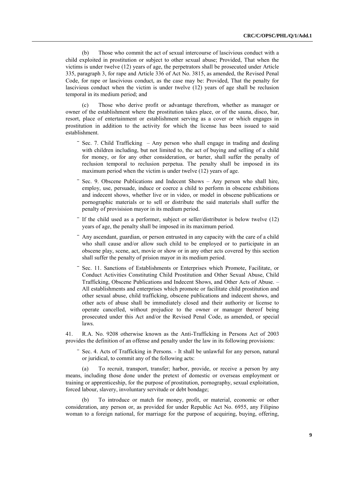(b) Those who commit the act of sexual intercourse of lascivious conduct with a child exploited in prostitution or subject to other sexual abuse; Provided, That when the victims is under twelve (12) years of age, the perpetrators shall be prosecuted under Article 335, paragraph 3, for rape and Article 336 of Act No. 3815, as amended, the Revised Penal Code, for rape or lascivious conduct, as the case may be: Provided, That the penalty for lascivious conduct when the victim is under twelve (12) years of age shall be reclusion temporal in its medium period; and

(c) Those who derive profit or advantage therefrom, whether as manager or owner of the establishment where the prostitution takes place, or of the sauna, disco, bar, resort, place of entertainment or establishment serving as a cover or which engages in prostitution in addition to the activity for which the license has been issued to said establishment.

- Sec. 7. Child Trafficking  $-$  Any person who shall engage in trading and dealing with children including, but not limited to, the act of buying and selling of a child for money, or for any other consideration, or barter, shall suffer the penalty of reclusion temporal to reclusion perpetua. The penalty shall be imposed in its maximum period when the victim is under twelve (12) years of age.
- Sec. 9. Obscene Publications and Indecent Shows Any person who shall hire, employ, use, persuade, induce or coerce a child to perform in obscene exhibitions and indecent shows, whether live or in video, or model in obscene publications or pornographic materials or to sell or distribute the said materials shall suffer the penalty of provisision mayor in its medium period.
- ‾ If the child used as a performer, subject or seller/distributor is below twelve (12) years of age, the penalty shall be imposed in its maximum period.
- ‾ Any ascendant, guardian, or person entrusted in any capacity with the care of a child who shall cause and/or allow such child to be employed or to participate in an obscene play, scene, act, movie or show or in any other acts covered by this section shall suffer the penalty of prision mayor in its medium period.
- ‾ Sec. 11. Sanctions of Establishments or Enterprises which Promote, Facilitate, or Conduct Activities Constituting Child Prostitution and Other Sexual Abuse, Child Trafficking, Obscene Publications and Indecent Shows, and Other Acts of Abuse. – All establishments and enterprises which promote or facilitate child prostitution and other sexual abuse, child trafficking, obscene publications and indecent shows, and other acts of abuse shall be immediately closed and their authority or license to operate cancelled, without prejudice to the owner or manager thereof being prosecuted under this Act and/or the Revised Penal Code, as amended, or special laws.

41. R.A. No. 9208 otherwise known as the Anti-Trafficking in Persons Act of 2003 provides the definition of an offense and penalty under the law in its following provisions:

Sec. 4. Acts of Trafficking in Persons. - It shall be unlawful for any person, natural or juridical, to commit any of the following acts:

(a) To recruit, transport, transfer; harbor, provide, or receive a person by any means, including those done under the pretext of domestic or overseas employment or training or apprenticeship, for the purpose of prostitution, pornography, sexual exploitation, forced labour, slavery, involuntary servitude or debt bondage;

(b) To introduce or match for money, profit, or material, economic or other consideration, any person or, as provided for under Republic Act No. 6955, any Filipino woman to a foreign national, for marriage for the purpose of acquiring, buying, offering,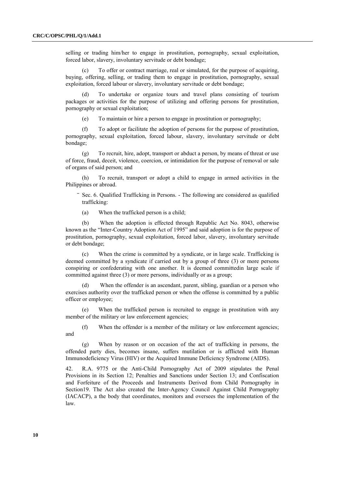selling or trading him/her to engage in prostitution, pornography, sexual exploitation, forced labor, slavery, involuntary servitude or debt bondage;

(c) To offer or contract marriage, real or simulated, for the purpose of acquiring, buying, offering, selling, or trading them to engage in prostitution, pornography, sexual exploitation, forced labour or slavery, involuntary servitude or debt bondage;

(d) To undertake or organize tours and travel plans consisting of tourism packages or activities for the purpose of utilizing and offering persons for prostitution, pornography or sexual exploitation;

(e) To maintain or hire a person to engage in prostitution or pornography;

(f) To adopt or facilitate the adoption of persons for the purpose of prostitution, pornography, sexual exploitation, forced labour, slavery, involuntary servitude or debt bondage;

(g) To recruit, hire, adopt, transport or abduct a person, by means of threat or use of force, fraud, deceit, violence, coercion, or intimidation for the purpose of removal or sale of organs of said person; and

(h) To recruit, transport or adopt a child to engage in armed activities in the Philippines or abroad.

- Sec. 6. Qualified Trafficking in Persons. The following are considered as qualified trafficking:
	- (a) When the trafficked person is a child;

(b) When the adoption is effected through Republic Act No. 8043, otherwise known as the "Inter-Country Adoption Act of 1995" and said adoption is for the purpose of prostitution, pornography, sexual exploitation, forced labor, slavery, involuntary servitude or debt bondage;

(c) When the crime is committed by a syndicate, or in large scale. Trafficking is deemed committed by a syndicate if carried out by a group of three (3) or more persons conspiring or confederating with one another. It is deemed committedin large scale if committed against three (3) or more persons, individually or as a group;

When the offender is an ascendant, parent, sibling, guardian or a person who exercises authority over the trafficked person or when the offense is committed by a public officer or employee;

When the trafficked person is recruited to engage in prostitution with any member of the military or law enforcement agencies;

(f) When the offender is a member of the military or law enforcement agencies; and

(g) When by reason or on occasion of the act of trafficking in persons, the offended party dies, becomes insane, suffers mutilation or is afflicted with Human Immunodeficiency Virus (HIV) or the Acquired Immune Deficiency Syndrome (AIDS).

42. R.A. 9775 or the Anti-Child Pornography Act of 2009 stipulates the Penal Provisions in its Section 12; Penalties and Sanctions under Section 13; and Confiscation and Forfeiture of the Proceeds and Instruments Derived from Child Pornography in Section19. The Act also created the Inter-Agency Council Against Child Pornography (IACACP), a the body that coordinates, monitors and oversees the implementation of the law.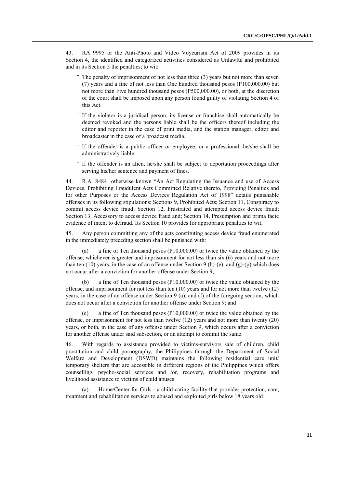43. RA 9995 or the Anti-Photo and Video Voyeurism Act of 2009 provides in its Section 4, the identified and categorized activities considered as Unlawful and prohibited and in its Section 5 the penalties; to wit:

- The penalty of imprisonment of not less than three (3) years but not more than seven (7) years and a fine of not less than One hundred thousand pesos (P100,000.00) but not more than Five hundred thousand pesos (P500,000.00), or both, at the discretion of the court shall be imposed upon any person found guilty of violating Section 4 of this Act.
- ‾ If the violator is a juridical person, its license or franchise shall automatically be deemed revoked and the persons liable shall be the officers thereof including the editor and reporter in the case of print media, and the station manager, editor and broadcaster in the case of a broadcast media.
- ‾ If the offender is a public officer or employee, or a professional, he/she shall be administratively liable.
- ‾ If the offender is an alien, he/she shall be subject to deportation proceedings after serving his/her sentence and payment of fines.

44. R.A. 8484 otherwise known "An Act Regulating the Issuance and use of Access Devices, Prohibiting Fraudulent Acts Committed Relative thereto, Providing Penalties and for other Purposes or the Access Devices Regulation Act of 1998" details punishable offenses in its following stipulations: Sections 9, Prohibited Acts; Section 11, Conspiracy to commit access device fraud; Section 12, Frustrated and attempted access device fraud; Section 13, Accessory to access device fraud and; Section 14, Presumption and prima facie evidence of intent to defraud. Its Section 10 provides for appropriate penalties to wit.

45. Any person committing any of the acts constituting access device fraud enumerated in the immediately preceding section shall be punished with:

(a) a fine of Ten thousand pesos (P10,000.00) or twice the value obtained by the offense, whichever is greater and imprisonment for not less than six (6) years and not more than ten (10) years, in the case of an offense under Section 9 (b)-(e), and (g)-(p) which does not occur after a conviction for another offense under Section 9;

a fine of Ten thousand pesos ( $P10,000.00$ ) or twice the value obtained by the offense, and imprisonment for not less than ten (10) years and for not more than twelve (12) years, in the case of an offense under Section 9 (a), and (f) of the foregoing section, which does not occur after a conviction for another offense under Section 9; and

(c) a fine of Ten thousand pesos (P10,000.00) or twice the value obtained by the offense, or imprisonment for not less than twelve (12) years and not more than twenty (20) years, or both, in the case of any offense under Section 9, which occurs after a conviction for another offense under said subsection, or an attempt to commit the same.

46. With regards to assistance provided to victims-survivors sale of children, child prostitution and child pornography, the Philippines through the Department of Social Welfare and Development (DSWD) maintains the following residential care unit/ temporary shelters that are accessible in different regions of the Philippines which offers counselling, psycho-social services and /or, recovery, rehabilitation programs and livelihood assistance to victims of child abuses:

(a) Home/Center for Girls - a child-caring facility that provides protection, care, treatment and rehabilitation services to abused and exploited girls below 18 years old;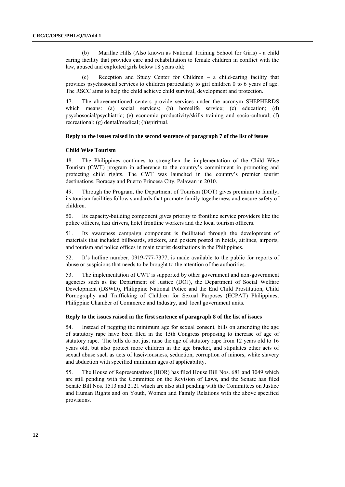(b) Marillac Hills (Also known as National Training School for Girls) - a child caring facility that provides care and rehabilitation to female children in conflict with the law, abused and exploited girls below 18 years old;

(c) Reception and Study Center for Children – a child-caring facility that provides psychosocial services to children particularly to girl children 0 to 6 years of age. The RSCC aims to help the child achieve child survival, development and protection.

47. The abovementioned centers provide services under the acronym SHEPHERDS which means: (a) social services; (b) homelife service; (c) education; (d) psychosocial/psychiatric; (e) economic productivity/skills training and socio-cultural; (f) recreational; (g) dental/medical; (h)spiritual.

#### **Reply to the issues raised in the second sentence of paragraph 7 of the list of issues**

### **Child Wise Tourism**

48. The Philippines continues to strengthen the implementation of the Child Wise Tourism (CWT) program in adherence to the country's commitment in promoting and protecting child rights. The CWT was launched in the country's premier tourist destinations, Boracay and Puerto Princesa City, Palawan in 2010.

49. Through the Program, the Department of Tourism (DOT) gives premium to family; its tourism facilities follow standards that promote family togetherness and ensure safety of children.

50. Its capacity-building component gives priority to frontline service providers like the police officers, taxi drivers, hotel frontline workers and the local tourism officers.

51. Its awareness campaign component is facilitated through the development of materials that included billboards, stickers, and posters posted in hotels, airlines, airports, and tourism and police offices in main tourist destinations in the Philippines.

52. It's hotline number, 0919-777-7377, is made available to the public for reports of abuse or suspicions that needs to be brought to the attention of the authorities.

53. The implementation of CWT is supported by other government and non-government agencies such as the Department of Justice (DOJ), the Department of Social Welfare Development (DSWD), Philippine National Police and the End Child Prostitution, Child Pornography and Trafficking of Children for Sexual Purposes (ECPAT) Philippines, Philippine Chamber of Commerce and Industry, and local government units.

#### **Reply to the issues raised in the first sentence of paragraph 8 of the list of issues**

54. Instead of pegging the minimum age for sexual consent, bills on amending the age of statutory rape have been filed in the 15th Congress proposing to increase of age of statutory rape. The bills do not just raise the age of statutory rape from 12 years old to 16 years old, but also protect more children in the age bracket, and stipulates other acts of sexual abuse such as acts of lasciviousness, seduction, corruption of minors, white slavery and abduction with specified minimum ages of applicability.

55. The House of Representatives (HOR) has filed House Bill Nos. 681 and 3049 which are still pending with the Committee on the Revision of Laws, and the Senate has filed Senate Bill Nos. 1513 and 2121 which are also still pending with the Committees on Justice and Human Rights and on Youth, Women and Family Relations with the above specified provisions.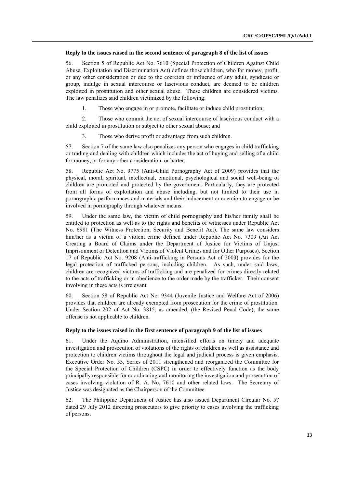#### **Reply to the issues raised in the second sentence of paragraph 8 of the list of issues**

56. Section 5 of Republic Act No. 7610 (Special Protection of Children Against Child Abuse, Exploitation and Discrimination Act) defines those children, who for money, profit, or any other consideration or due to the coercion or influence of any adult, syndicate or group, indulge in sexual intercourse or lascivious conduct, are deemed to be children exploited in prostitution and other sexual abuse. These children are considered victims. The law penalizes said children victimized by the following:

1. Those who engage in or promote, facilitate or induce child prostitution;

2. Those who commit the act of sexual intercourse of lascivious conduct with a child exploited in prostitution or subject to other sexual abuse; and

3. Those who derive profit or advantage from such children.

57. Section 7 of the same law also penalizes any person who engages in child trafficking or trading and dealing with children which includes the act of buying and selling of a child for money, or for any other consideration, or barter.

58. Republic Act No. 9775 (Anti-Child Pornography Act of 2009) provides that the physical, moral, spiritual, intellectual, emotional, psychological and social well-being of children are promoted and protected by the government. Particularly, they are protected from all forms of exploitation and abuse including, but not limited to their use in pornographic performances and materials and their inducement or coercion to engage or be involved in pornography through whatever means.

59. Under the same law, the victim of child pornography and his/her family shall be entitled to protection as well as to the rights and benefits of witnesses under Republic Act No. 6981 (The Witness Protection, Security and Benefit Act). The same law considers him/her as a victim of a violent crime defined under Republic Act No. 7309 (An Act Creating a Board of Claims under the Department of Justice for Victims of Unjust Imprisonment or Detention and Victims of Violent Crimes and for Other Purposes). Section 17 of Republic Act No. 9208 (Anti-trafficking in Persons Act of 2003) provides for the legal protection of trafficked persons, including children. As such, under said laws, children are recognized victims of trafficking and are penalized for crimes directly related to the acts of trafficking or in obedience to the order made by the trafficker. Their consent involving in these acts is irrelevant.

60. Section 58 of Republic Act No. 9344 (Juvenile Justice and Welfare Act of 2006) provides that children are already exempted from prosecution for the crime of prostitution. Under Section 202 of Act No. 3815, as amended, (the Revised Penal Code), the same offense is not applicable to children.

#### **Reply to the issues raised in the first sentence of paragraph 9 of the list of issues**

61. Under the Aquino Administration, intensified efforts on timely and adequate investigation and prosecution of violations of the rights of children as well as assistance and protection to children victims throughout the legal and judicial process is given emphasis. Executive Order No. 53, Series of 2011 strengthened and reorganized the Committee for the Special Protection of Children (CSPC) in order to effectively function as the body principally responsible for coordinating and monitoring the investigation and prosecution of cases involving violation of R. A. No, 7610 and other related laws. The Secretary of Justice was designated as the Chairperson of the Committee.

62. The Philippine Department of Justice has also issued Department Circular No. 57 dated 29 July 2012 directing prosecutors to give priority to cases involving the trafficking of persons.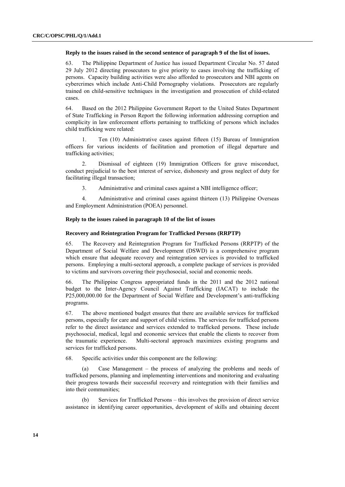#### **Reply to the issues raised in the second sentence of paragraph 9 of the list of issues.**

63. The Philippine Department of Justice has issued Department Circular No. 57 dated 29 July 2012 directing prosecutors to give priority to cases involving the trafficking of persons. Capacity building activities were also afforded to prosecutors and NBI agents on cybercrimes which include Anti-Child Pornography violations. Prosecutors are regularly trained on child-sensitive techniques in the investigation and prosecution of child-related cases.

64. Based on the 2012 Philippine Government Report to the United States Department of State Trafficking in Person Report the following information addressing corruption and complicity in law enforcement efforts pertaining to trafficking of persons which includes child trafficking were related:

1. Ten (10) Administrative cases against fifteen (15) Bureau of Immigration officers for various incidents of facilitation and promotion of illegal departure and trafficking activities;

2. Dismissal of eighteen (19) Immigration Officers for grave misconduct, conduct prejudicial to the best interest of service, dishonesty and gross neglect of duty for facilitating illegal transaction;

3. Administrative and criminal cases against a NBI intelligence officer;

4. Administrative and criminal cases against thirteen (13) Philippine Overseas and Employment Administration (POEA) personnel.

# **Reply to the issues raised in paragraph 10 of the list of issues**

#### **Recovery and Reintegration Program for Trafficked Persons (RRPTP)**

65. The Recovery and Reintegration Program for Trafficked Persons (RRPTP) of the Department of Social Welfare and Development (DSWD) is a comprehensive program which ensure that adequate recovery and reintegration services is provided to trafficked persons. Employing a multi-sectoral approach, a complete package of services is provided to victims and survivors covering their psychosocial, social and economic needs.

66. The Philippine Congress appropriated funds in the 2011 and the 2012 national budget to the Inter-Agency Council Against Trafficking (IACAT) to include the P25,000,000.00 for the Department of Social Welfare and Development's anti-trafficking programs.

67. The above mentioned budget ensures that there are available services for trafficked persons, especially for care and support of child victims. The services for trafficked persons refer to the direct assistance and services extended to trafficked persons. These include psychosocial, medical, legal and economic services that enable the clients to recover from the traumatic experience. Multi-sectoral approach maximizes existing programs and services for trafficked persons.

68. Specific activities under this component are the following:

(a) Case Management – the process of analyzing the problems and needs of trafficked persons, planning and implementing interventions and monitoring and evaluating their progress towards their successful recovery and reintegration with their families and into their communities;

(b) Services for Trafficked Persons – this involves the provision of direct service assistance in identifying career opportunities, development of skills and obtaining decent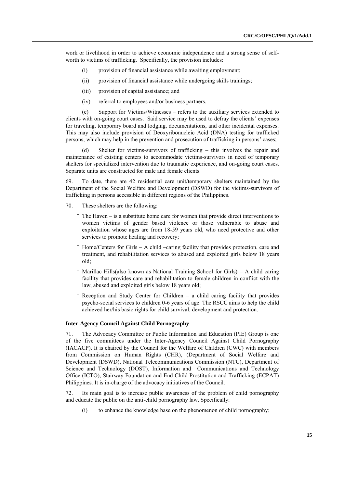work or livelihood in order to achieve economic independence and a strong sense of selfworth to victims of trafficking. Specifically, the provision includes:

- (i) provision of financial assistance while awaiting employment;
- (ii) provision of financial assistance while undergoing skills trainings;
- (iii) provision of capital assistance; and
- (iv) referral to employees and/or business partners.

(c) Support for Victims/Witnesses – refers to the auxiliary services extended to clients with on-going court cases. Said service may be used to defray the clients' expenses for traveling, temporary board and lodging, documentations, and other incidental expenses. This may also include provision of Deoxyribonucleic Acid (DNA) testing for trafficked persons, which may help in the prevention and prosecution of trafficking in persons' cases;

(d) Shelter for victims-survivors of trafficking – this involves the repair and maintenance of existing centers to accommodate victims-survivors in need of temporary shelters for specialized intervention due to traumatic experience, and on-going court cases. Separate units are constructed for male and female clients.

69. To date, there are 42 residential care unit/temporary shelters maintained by the Department of the Social Welfare and Development (DSWD) for the victims-survivors of trafficking in persons accessible in different regions of the Philippines.

- 70. These shelters are the following:
	- ‾ The Haven is a substitute home care for women that provide direct interventions to women victims of gender based violence or those vulnerable to abuse and exploitation whose ages are from 18-59 years old, who need protective and other services to promote healing and recovery;
	- Home/Centers for Girls A child –caring facility that provides protection, care and treatment, and rehabilitation services to abused and exploited girls below 18 years old;
	- Marillac Hills(also known as National Training School for Girls) A child caring facility that provides care and rehabilitation to female children in conflict with the law, abused and exploited girls below 18 years old;
	- Reception and Study Center for Children  $-$  a child caring facility that provides psycho-social services to children 0-6 years of age. The RSCC aims to help the child achieved her/his basic rights for child survival, development and protection.

#### **Inter-Agency Council Against Child Pornography**

71. The Advocacy Committee or Public Information and Education (PIE) Group is one of the five committees under the Inter-Agency Council Against Child Pornography (IACACP). It is chaired by the Council for the Welfare of Children (CWC) with members from Commission on Human Rights (CHR), (Department of Social Welfare and Development (DSWD), National Telecommunications Commission (NTC), Department of Science and Technology (DOST), Information and Communications and Technology Office (ICTO), Stairway Foundation and End Child Prostitution and Trafficking (ECPAT) Philippines. It is in-charge of the advocacy initiatives of the Council.

72. Its main goal is to increase public awareness of the problem of child pornography and educate the public on the anti-child pornography law. Specifically:

(i) to enhance the knowledge base on the phenomenon of child pornography;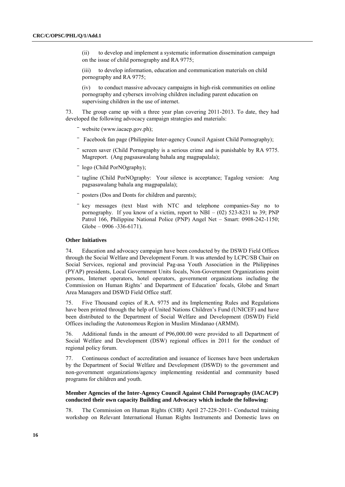(ii) to develop and implement a systematic information dissemination campaign on the issue of child pornography and RA 9775;

(iii) to develop information, education and communication materials on child pornography and RA 9775;

(iv) to conduct massive advocacy campaigns in high-risk communities on online pornography and cybersex involving children including parent education on supervising children in the use of internet.

73. The group came up with a three year plan covering 2011-2013. To date, they had developed the following advocacy campaign strategies and materials:

- website (www.iacacp.gov.ph);
- ‾ Facebook fan page (Philippine Inter-agency Council Agaisnt Child Pornography);
- ‾ screen saver (Child Pornography is a serious crime and is punishable by RA 9775. Magreport. (Ang pagsasawalang bahala ang magpapalala);
- ‾ logo (Child PorNOgraphy);
- ‾ tagline (Child PorNOgraphy: Your silence is acceptance; Tagalog version: Ang pagsasawalang bahala ang magpapalala);
- posters (Dos and Donts for children and parents);
- key messages (text blast with NTC and telephone companies-Say no to pornography. If you know of a victim, report to  $NBI - (02)$  523-8231 to 39; PNP Patrol 166, Philippine National Police (PNP) Angel Net – Smart: 0908-242-1150;  $Globe - 0906 - 336 - 6171$ .

## **Other Initiatives**

74. Education and advocacy campaign have been conducted by the DSWD Field Offices through the Social Welfare and Development Forum. It was attended by LCPC/SB Chair on Social Services, regional and provincial Pag-asa Youth Association in the Philippines (PYAP) presidents, Local Government Units focals, Non-Government Organizations point persons, Internet operators, hotel operators, government organizations including the Commission on Human Rights' and Department of Education' focals, Globe and Smart Area Managers and DSWD Field Office staff.

75. Five Thousand copies of R.A. 9775 and its Implementing Rules and Regulations have been printed through the help of United Nations Children's Fund (UNICEF) and have been distributed to the Department of Social Welfare and Development (DSWD) Field Offices including the Autonomous Region in Muslim Mindanao (ARMM).

76. Additional funds in the amount of P96,000.00 were provided to all Department of Social Welfare and Development (DSW) regional offices in 2011 for the conduct of regional policy forum.

77. Continuous conduct of accreditation and issuance of licenses have been undertaken by the Department of Social Welfare and Development (DSWD) to the government and non-government organizations/agency implementing residential and community based programs for children and youth.

# **Member Agencies of the Inter-Agency Council Against Child Pornography (IACACP) conducted their own capacity Building and Advocacy which include the following:**

78. The Commission on Human Rights (CHR) April 27-228-2011- Conducted training workshop on Relevant International Human Rights Instruments and Domestic laws on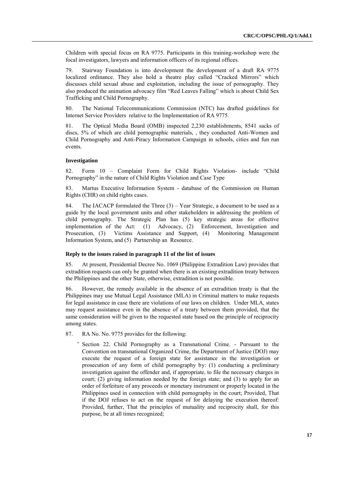Children with special focus on RA 9775. Participants in this training-workshop were the focal investigators, lawyers and information officers of its regional offices.

79. Stairway Foundation is into development the development of a draft RA 9775 localized ordinance. They also hold a theatre play called "Cracked Mirrors" which discusses child sexual abuse and exploitation, including the issue of pornography. They also produced the animation advocacy film "Red Leaves Falling" which is about Child Sex Trafficking and Child Pornography.

80. The National Telecommunications Commission (NTC) has drafted guidelines for Internet Service Providers relative to the Implementation of RA 9775.

81. The Optical Media Board (OMB) inspected 2,230 establishments, 8541 sacks of discs, 5% of which are child pornographic materials, , they conducted Anti-Women and Child Pornography and Anti-Piracy Information Campaign in schools, cities and fun run events.

#### **Investigation**

82. Form 10 – Complaint Form for Child Rights Violation- include "Child" Pornography" in the nature of Child Rights Violation and Case Type

83. Martus Executive Information System - database of the Commission on Human Rights (CHR) on child rights cases.

84. The IACACP formulated the Three  $(3)$  – Year Strategic, a document to be used as a guide by the local government units and other stakeholders in addressing the problem of child pornography. The Strategic Plan has (5) key strategic areas for effective implementation of the Act: (1) Advocacy, (2) Enforcement, Investigation and Prosecution, (3) Victims Assistance and Support, (4) Monitoring Management Information System, and (5) Partnership an Resource.

#### **Reply to the issues raised in paragraph 11 of the list of issues**

85. At present, Presidential Decree No. 1069 (Philippine Extradition Law) provides that extradition requests can only be granted when there is an existing extradition treaty between the Philippines and the other State, otherwise, extradition is not possible.

86. However, the remedy available in the absence of an extradition treaty is that the Philippines may use Mutual Legal Assistance (MLA) in Criminal matters to make requests for legal assistance in case there are violations of our laws on children. Under MLA, states may request assistance even in the absence of a treaty between them provided, that the same consideration will be given to the requested state based on the principle of reciprocity among states.

- 87. RA No. No. 9775 provides for the following:
	- Section 22. Child Pornography as a Transnational Crime. Pursuant to the Convention on transnational Organized Crime, the Department of Justice (DOJ) may execute the request of a foreign state for assistance in the investigation or prosecution of any form of child pornography by: (1) conducting a preliminary investigation against the offender and, if appropriate, to file the necessary charges in court; (2) giving information needed by the foreign state; and (3) to apply for an order of forfeiture of any proceeds or monetary instrument or properly located in the Philippines used in connection with child pornography in the court; Provided, That if the DOJ refuses to act on the request of for delaying the execution thereof: Provided, further, That the principles of mutuality and reciprocity shall, for this purpose, be at all times recognized;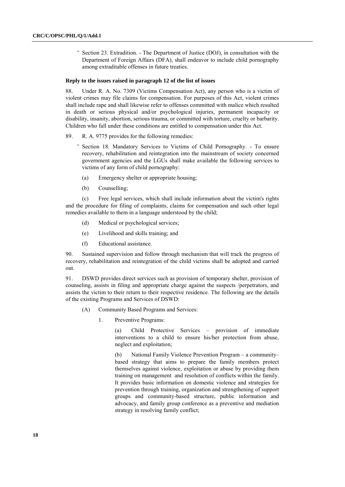Section 23. Extradition. - The Department of Justice (DOJ), in consultation with the Department of Foreign Affairs (DFA), shall endeavor to include child pornography among extraditable offenses in future treaties.

#### **Reply to the issues raised in paragraph 12 of the list of issues**

88. Under R. A. No. 7309 (Victims Compensation Act), any person who is a victim of violent crimes may file claims for compensation. For purposes of this Act, violent crimes shall include rape and shall likewise refer to offenses committed with malice which resulted in death or serious physical and/or psychological injuries, permanent incapacity or disability, insanity, abortion, serious trauma, or committed with torture, cruelty or barbarity. Children who fall under these conditions are entitled to compensation under this Act.

89. R. A. 9775 provides for the following remedies:

- Section 18. Mandatory Services to Victims of Child Pornography. To ensure recovery, rehabilitation and reintegration into the mainstream of society concerned government agencies and the LGUs shall make available the following services to victims of any form of child pornography:
	- (a) Emergency shelter or appropriate housing;
	- (b) Counselling;

(c) Free legal services, which shall include information about the victim's rights and the procedure for filing of complaints, claims for compensation and such other legal remedies available to them in a language understood by the child;

- (d) Medical or psychological services;
- (e) Livelihood and skills training; and
- (f) Educational assistance.

90. Sustained supervision and follow through mechanism that will track the progress of recovery, rehabilitation and reintegration of the child victims shall be adopted and carried out.

91. DSWD provides direct services such as provision of temporary shelter, provision of counseling, assists in filing and appropriate charge against the suspects /perpetrators, and assists the victim to their return to their respective residence. The following are the details of the existing Programs and Services of DSWD:

- (A) Community Based Programs and Services:
	- 1. Preventive Programs:

(a) Child Protective Services – provision of immediate interventions to a child to ensure his/her protection from abuse, neglect and exploitation;

(b) National Family Violence Prevention Program – a community– based strategy that aims to prepare the family members protect themselves against violence, exploitation or abuse by providing them training on management and resolution of conflicts within the family. It provides basic information on domestic violence and strategies for prevention through training, organization and strengthening of support groups and community-based structure, public information and advocacy, and family group conference as a preventive and mediation strategy in resolving family conflict;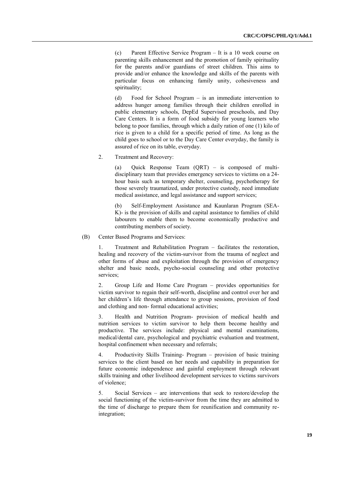(c) Parent Effective Service Program – It is a 10 week course on parenting skills enhancement and the promotion of family spirituality for the parents and/or guardians of street children. This aims to provide and/or enhance the knowledge and skills of the parents with particular focus on enhancing family unity, cohesiveness and spirituality;

(d) Food for School Program – is an immediate intervention to address hunger among families through their children enrolled in public elementary schools, DepEd Supervised preschools, and Day Care Centers. It is a form of food subsidy for young learners who belong to poor families, through which a daily ration of one (1) kilo of rice is given to a child for a specific period of time. As long as the child goes to school or to the Day Care Center everyday, the family is assured of rice on its table, everyday.

2. Treatment and Recovery:

(a) Quick Response Team (QRT) – is composed of multidisciplinary team that provides emergency services to victims on a 24 hour basis such as temporary shelter, counseling, psychotherapy for those severely traumatized, under protective custody, need immediate medical assistance, and legal assistance and support services;

(b) Self-Employment Assistance and Kaunlaran Program (SEA-K)- is the provision of skills and capital assistance to families of child labourers to enable them to become economically productive and contributing members of society.

(B) Center Based Programs and Services:

1. Treatment and Rehabilitation Program – facilitates the restoration, healing and recovery of the victim-survivor from the trauma of neglect and other forms of abuse and exploitation through the provision of emergency shelter and basic needs, psycho-social counseling and other protective services;

2. Group Life and Home Care Program – provides opportunities for victim survivor to regain their self-worth, discipline and control over her and her children's life through attendance to group sessions, provision of food and clothing and non- formal educational activities;

3. Health and Nutrition Program- provision of medical health and nutrition services to victim survivor to help them become healthy and productive. The services include: physical and mental examinations, medical/dental care, psychological and psychiatric evaluation and treatment, hospital confinement when necessary and referrals;

4. Productivity Skills Training- Program – provision of basic training services to the client based on her needs and capability in preparation for future economic independence and gainful employment through relevant skills training and other livelihood development services to victims survivors of violence;

5. Social Services – are interventions that seek to restore/develop the social functioning of the victim-survivor from the time they are admitted to the time of discharge to prepare them for reunification and community reintegration;